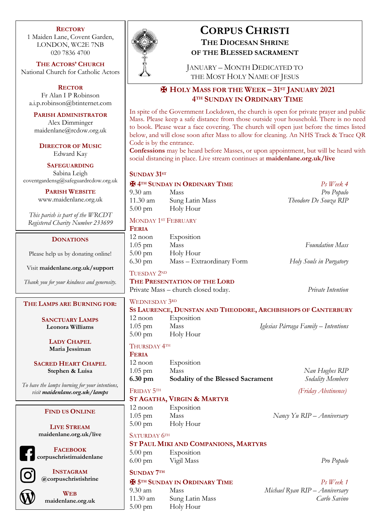#### **RECTORY**

1 Maiden Lane, Covent Garden, LONDON, WC2E 7NB 020 7836 4700

**THE ACTORS' CHURCH** National Church for Catholic Actors

**RECTOR** Fr Alan I P Robinson a.i.p.robinson@btinternet.com

**PARISH ADMINISTRATOR** Alex Dimminger maidenlane@rcdow.org.uk

**DIRECTOR OF MUSIC** Edward Kay

**SAFEGUARDING** Sabina Leigh coventgardensg@safeguardrcdow.org.uk

> **PARISH WEBSITE** www.maidenlane.org.uk

*This parish is part of the WRCDT Registered Charity Number 233699*

# **DONATIONS**

Please help us by donating online!

Visit **maidenlane.org.uk/support**

*Thank you for your kindness and generosity.*

### **THE LAMPS ARE BURNING FOR:**

**SANCTUARY LAMPS Leonora Williams**

> **LADY CHAPEL Maria Jessiman**

**SACRED HEART CHAPEL Stephen & Luisa**

*To have the lamps burning for your intentions, visit maidenlane.org.uk/lamps*

### **FIND US ONLINE**

**LIVE STREAM maidenlane.org.uk/live**

**FACEBOOK corpuschristimaidenlane**



**INSTAGRAM @corpuschristishrine**



**WEB maidenlane.org.uk**



# **CORPUS CHRISTI THE DIOCESAN SHRINE OF THE BLESSED SACRAMENT**

JANUARY – MONTH DEDICATED TO THE MOST HOLY NAME OF JESUS

# ✠ **HOLY MASS FOR THE WEEK – 31ST JANUARY 2021 4TH SUNDAY IN ORDINARY TIME**

In spite of the Government Lockdown, the church is open for private prayer and public Mass. Please keep a safe distance from those outside your household. There is no need to book. Please wear a face covering. The church will open just before the times listed below, and will close soon after Mass to allow for cleaning. An NHS Track & Trace QR Code is by the entrance.

**Confessions** may be heard before Masses, or upon appointment, but will be heard with social distancing in place. Live stream continues at **maidenlane.org.uk/live**

#### SUNDAY 31<sup>ST</sup>

## ✠ **4TH SUNDAY IN ORDINARY TIME** *Ps Week 4* 9.30 am Mass *Pro Populo*

11.30 am Sung Latin Mass *Theodore De Souza RIP* 5.00 pm Holy Hour

# MONDAY <sup>1ST</sup> FEBRUARY

# **FERIA** 12 noon Exposition 1.05 pm Mass *Foundation Mass* 5.00 pm Holy Hour 6.30 pm Mass – Extraordinary Form *Holy Souls in Purgatory*

## TUESDAY 2ND

**THE PRESENTATION OF THE LORD**

Private Mass – church closed today. *Private Intention*

# WEDNESDAY 3RD

- **SS LAURENCE, DUNSTAN AND THEODORE, ARCHBISHOPS OF CANTERBURY**
- 12 noon Exposition 1.05 pm Mass *Iglesias Párraga Family – Intentions* 5.00 pm Holy Hour
- THURSDAY 4TH

**FERIA**

12 noon Exposition 1.05 pm Mass *Nan Hughes RIP* **6.30 pm Sodality of the Blessed Sacrament** *Sodality Members*

# FRIDAY 5TH *(Friday Abstinence)*

# **ST AGATHA, VIRGIN & MARTYR**

- 12 noon Exposition 1.05 pm Mass *Nancy Yu RIP – Anniversary* 5.00 pm Holy Hour
- SATURDAY 6TH
- **ST PAUL MIKI AND COMPANIONS, MARTYRS**
- 5.00 pm Exposition
- 6.00 pm Vigil Mass *Pro Populo*

# **SUNDAY 7TH**

# ✠ **5TH SUNDAY IN ORDINARY TIME** *Ps Week 1*

11.30 am Sung Latin Mass *Carlo Savino* 5.00 pm Holy Hour

# 9.30 am Mass *Michael Ryan RIP – Anniversary*